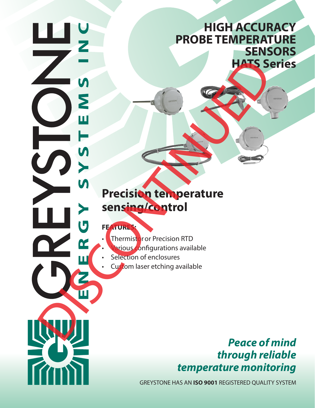# **HIGH ACCURACY PROBE TEMPERATURE SENSORS HATS Series**

# **Precision temperature sensing/control DISCONTINUES**<br> **DISCONTINUES**<br> **DISCONTINUES**<br> **DISCONTINUES**<br> **DISCONTINUES**<br> **CONTINUES**<br> **CONTINUES**<br> **CONTINUES**<br> **CONTINUES**<br> **CONTINUES**<br> **CONTINUES**<br> **CONTINUES**

## **FEATURES:**

- **Thermistor or Precision RTD** 
	- **arious** configurations available
- Selection of enclosures
- Custom laser etching available

# *Peace of mind through reliable temperature monitoring*

GREYSTONE HAS AN **ISO 9001** REGISTERED QUALITY SYSTEM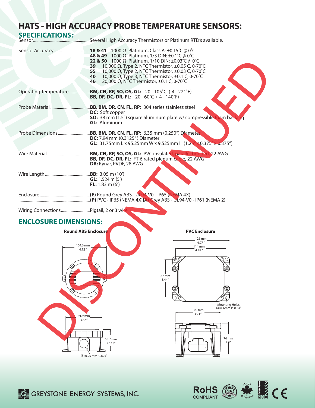# **HATS - HIGH ACCURACY PROBE TEMPERATURE SENSORS:**

| <b>SPECIFICATIONS:</b>                                                    |                                                                                                                                                                                                                                                                                                                                                           |
|---------------------------------------------------------------------------|-----------------------------------------------------------------------------------------------------------------------------------------------------------------------------------------------------------------------------------------------------------------------------------------------------------------------------------------------------------|
|                                                                           | 48 & 49 1000 $\Omega$ Platinum, 1/3 DIN: ±0.1°C @ 0°C<br>22 & 50 1000 Ω Platinum, 1/10 DIN: ±0.03°C @ 0°C<br>10,000 $\Omega$ , Type 2, NTC Thermistor, ±0.05 C, 0-70°C<br>39<br>10,000 Ω, Type 2, NTC Thermistor, $±0.03$ C, 0-70°C<br>55<br>10,000 Ω, Type 3, NTC Thermistor, $±0.1$ C, 0-70°C<br>40<br>20,000 Ω, NTC Thermistor, $±0.1$ C, 0-70°C<br>46 |
|                                                                           | <b>BB, DF, DC, DR, FL:</b> -20 - 60°C (-4 - 140°F)                                                                                                                                                                                                                                                                                                        |
|                                                                           | <b>DC:</b> Soft copper<br><b>SO:</b> 38 mm (1.5") square aluminum plate w/ compressible foam back<br><b>GL:</b> Aluminum                                                                                                                                                                                                                                  |
| Probe Dimensions                                                          | .BB, BM, DR, CN, FL, RP: 6.35 mm (0.250") Diameter<br>DC: 7.94 mm (0.3125") Diameter<br><b>GL:</b> 31.75mm L x 95.25mm W x 9.525mm H (1.25" x 0.375" x 0.375")                                                                                                                                                                                            |
|                                                                           | BB, DF, DC, DR, FL: FT-6 rated plenum cable, 22 AWG<br>DR: Kynar, PVDF, 28 AWG                                                                                                                                                                                                                                                                            |
|                                                                           | <b>GL:</b> 1.524 m $(5')$<br>FL: $1.83 \text{ m} (6')$                                                                                                                                                                                                                                                                                                    |
|                                                                           |                                                                                                                                                                                                                                                                                                                                                           |
|                                                                           |                                                                                                                                                                                                                                                                                                                                                           |
| <b>ENCLOSURE DIMENSIONS:</b>                                              |                                                                                                                                                                                                                                                                                                                                                           |
| <b>Round ABS Enclosure</b><br>104.6 mm<br>4.12'<br>d<br>91.9 mm<br>3.62'' | <b>PVC Enclosure</b><br>126 mm<br>4.97'<br>114 mm<br>4.48''<br>87 mm<br>3.44''<br><b>Mounting Holes</b><br>(X4) 6mm Ø 0.24"<br>100 mm<br>3.93''<br>74 mm<br>53.7 mm<br>2.9''<br>2.115''                                                                                                                                                                   |



Ø 20.95 mm 0.825"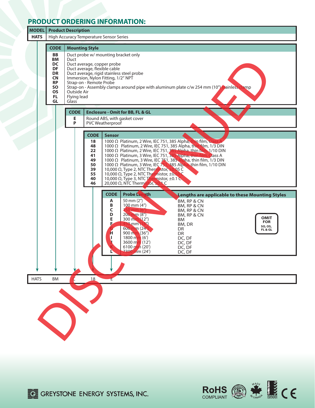### **PRODUCT ORDERING INFORMATION:**